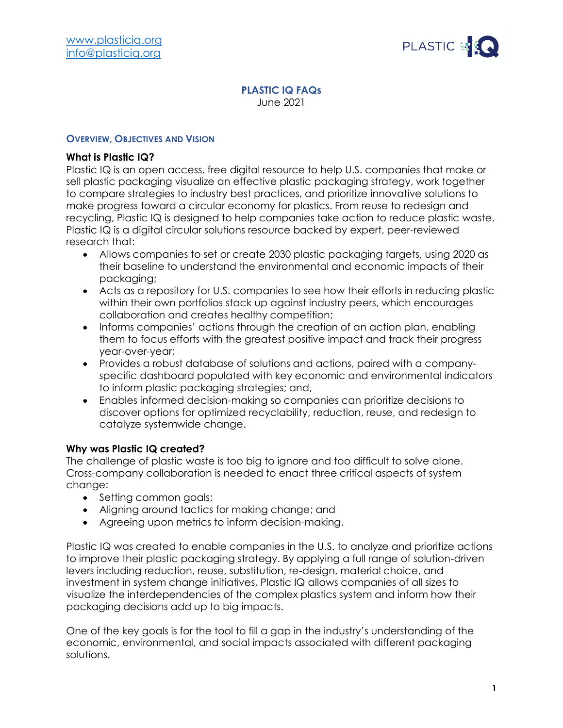

#### **PLASTIC IQ FAQs** June 2021

## **OVERVIEW, OBJECTIVES AND VISION**

## **What is Plastic IQ?**

Plastic IQ is an open access, free digital resource to help U.S. companies that make or sell plastic packaging visualize an effective plastic packaging strategy, work together to compare strategies to industry best practices, and prioritize innovative solutions to make progress toward a circular economy for plastics. From reuse to redesign and recycling, Plastic IQ is designed to help companies take action to reduce plastic waste. Plastic IQ is a digital circular solutions resource backed by expert, peer-reviewed research that:

- Allows companies to set or create 2030 plastic packaging targets, using 2020 as their baseline to understand the environmental and economic impacts of their packaging;
- Acts as a repository for U.S. companies to see how their efforts in reducing plastic within their own portfolios stack up against industry peers, which encourages collaboration and creates healthy competition;
- Informs companies' actions through the creation of an action plan, enabling them to focus efforts with the greatest positive impact and track their progress year-over-year;
- Provides a robust database of solutions and actions, paired with a companyspecific dashboard populated with key economic and environmental indicators to inform plastic packaging strategies; and,
- Enables informed decision-making so companies can prioritize decisions to discover options for optimized recyclability, reduction, reuse, and redesign to catalyze systemwide change.

## **Why was Plastic IQ created?**

The challenge of plastic waste is too big to ignore and too difficult to solve alone. Cross-company collaboration is needed to enact three critical aspects of system change:

- Setting common goals;
- Aligning around tactics for making change; and
- Agreeing upon metrics to inform decision-making.

Plastic IQ was created to enable companies in the U.S. to analyze and prioritize actions to improve their plastic packaging strategy. By applying a full range of solution-driven levers including reduction, reuse, substitution, re-design, material choice, and investment in system change initiatives, Plastic IQ allows companies of all sizes to visualize the interdependencies of the complex plastics system and inform how their packaging decisions add up to big impacts.

One of the key goals is for the tool to fill a gap in the industry's understanding of the economic, environmental, and social impacts associated with different packaging solutions.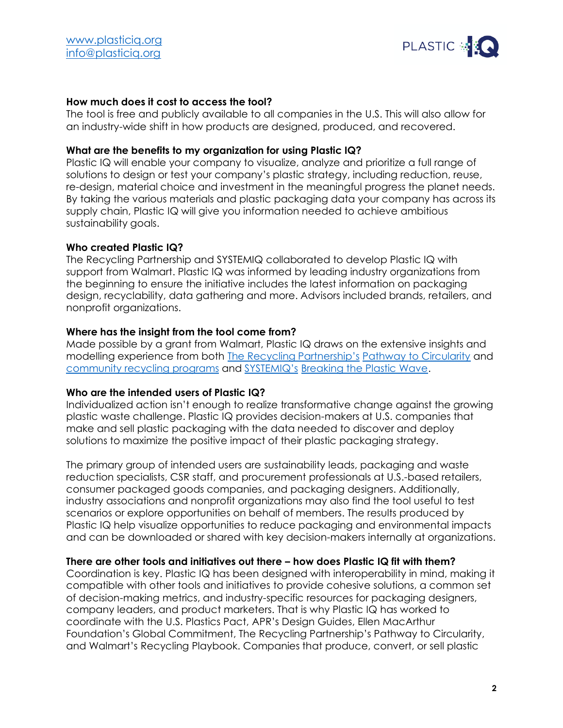

# **How much does it cost to access the tool?**

The tool is free and publicly available to all companies in the U.S. This will also allow for an industry-wide shift in how products are designed, produced, and recovered.

## **What are the benefits to my organization for using Plastic IQ?**

Plastic IQ will enable your company to visualize, analyze and prioritize a full range of solutions to design or test your company's plastic strategy, including reduction, reuse, re-design, material choice and investment in the meaningful progress the planet needs. By taking the various materials and plastic packaging data your company has across its supply chain, Plastic IQ will give you information needed to achieve ambitious sustainability goals.

## **Who created Plastic IQ?**

The Recycling Partnership and SYSTEMIQ collaborated to develop Plastic IQ with support from Walmart. Plastic IQ was informed by leading industry organizations from the beginning to ensure the initiative includes the latest information on packaging design, recyclability, data gathering and more. Advisors included brands, retailers, and nonprofit organizations.

## **Where has the insight from the tool come from?**

Made possible by a grant from Walmart, Plastic IQ draws on the extensive insights and modelling experience from both [The Recycling Partnership's](https://recyclingpartnership.org/) [Pathway to Circularity](https://recyclingpartnership.org/circulareconomy/) and [community recycling programs](https://recyclingpartnership.org/for-communities/) and [SYSTEMIQ's](https://www.systemiq.earth/) [Breaking the Plastic Wave.](https://www.systemiq.earth/wp-content/uploads/2020/07/BreakingThePlasticWave_MainReport.pdf)

## **Who are the intended users of Plastic IQ?**

Individualized action isn't enough to realize transformative change against the growing plastic waste challenge. Plastic IQ provides decision-makers at U.S. companies that make and sell plastic packaging with the data needed to discover and deploy solutions to maximize the positive impact of their plastic packaging strategy.

The primary group of intended users are sustainability leads, packaging and waste reduction specialists, CSR staff, and procurement professionals at U.S.-based retailers, consumer packaged goods companies, and packaging designers. Additionally, industry associations and nonprofit organizations may also find the tool useful to test scenarios or explore opportunities on behalf of members. The results produced by Plastic IQ help visualize opportunities to reduce packaging and environmental impacts and can be downloaded or shared with key decision-makers internally at organizations.

## **There are other tools and initiatives out there – how does Plastic IQ fit with them?**

Coordination is key. Plastic IQ has been designed with interoperability in mind, making it compatible with other tools and initiatives to provide cohesive solutions, a common set of decision-making metrics, and industry-specific resources for packaging designers, company leaders, and product marketers. That is why Plastic IQ has worked to coordinate with the U.S. Plastics Pact, APR's Design Guides, Ellen MacArthur Foundation's Global Commitment, The Recycling Partnership's Pathway to Circularity, and Walmart's Recycling Playbook. Companies that produce, convert, or sell plastic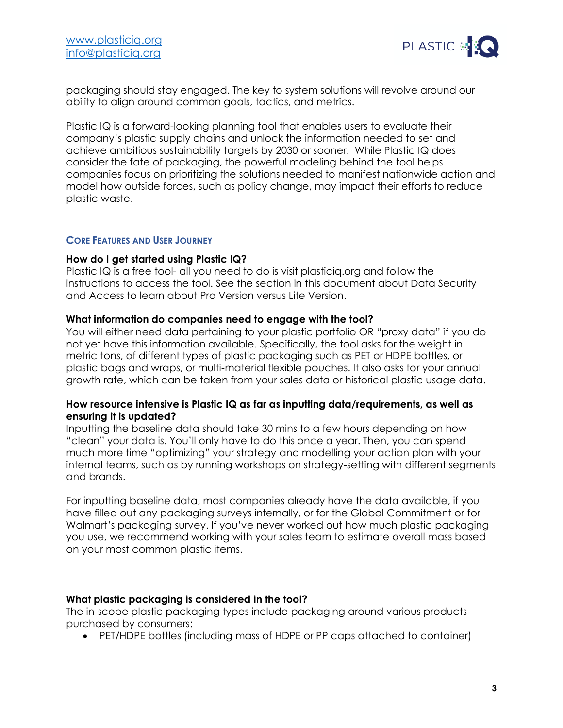

packaging should stay engaged. The key to system solutions will revolve around our ability to align around common goals, tactics, and metrics.

Plastic IQ is a forward-looking planning tool that enables users to evaluate their company's plastic supply chains and unlock the information needed to set and achieve ambitious sustainability targets by 2030 or sooner. While Plastic IQ does consider the fate of packaging, the powerful modeling behind the tool helps companies focus on prioritizing the solutions needed to manifest nationwide action and model how outside forces, such as policy change, may impact their efforts to reduce plastic waste.

#### **CORE FEATURES AND USER JOURNEY**

#### **How do I get started using Plastic IQ?**

Plastic IQ is a free tool- all you need to do is visit plasticiq.org and follow the instructions to access the tool. See the section in this document about Data Security and Access to learn about Pro Version versus Lite Version.

#### **What information do companies need to engage with the tool?**

You will either need data pertaining to your plastic portfolio OR "proxy data" if you do not yet have this information available. Specifically, the tool asks for the weight in metric tons, of different types of plastic packaging such as PET or HDPE bottles, or plastic bags and wraps, or multi-material flexible pouches. It also asks for your annual growth rate, which can be taken from your sales data or historical plastic usage data.

### **How resource intensive is Plastic IQ as far as inputting data/requirements, as well as ensuring it is updated?**

Inputting the baseline data should take 30 mins to a few hours depending on how "clean" your data is. You'll only have to do this once a year. Then, you can spend much more time "optimizing" your strategy and modelling your action plan with your internal teams, such as by running workshops on strategy-setting with different segments and brands.

For inputting baseline data, most companies already have the data available, if you have filled out any packaging surveys internally, or for the Global Commitment or for Walmart's packaging survey. If you've never worked out how much plastic packaging you use, we recommend working with your sales team to estimate overall mass based on your most common plastic items.

#### **What plastic packaging is considered in the tool?**

The in-scope plastic packaging types include packaging around various products purchased by consumers:

• PET/HDPE bottles (including mass of HDPE or PP caps attached to container)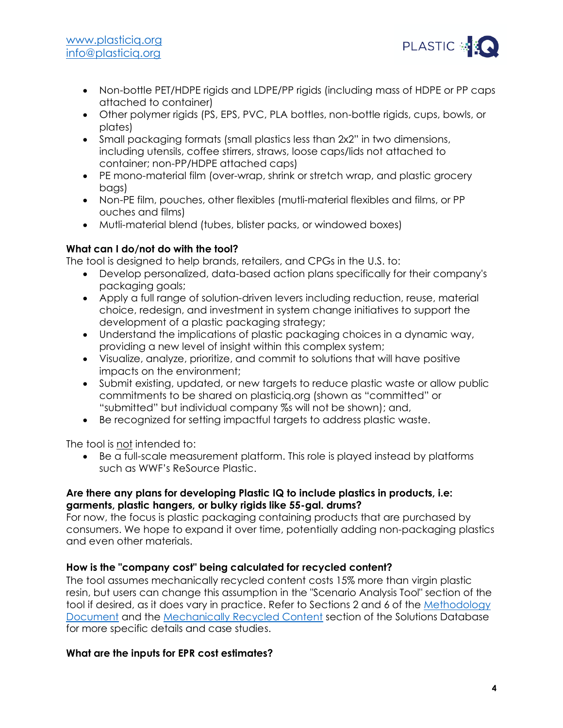

- Non-bottle PET/HDPE rigids and LDPE/PP rigids (including mass of HDPE or PP caps attached to container)
- Other polymer rigids (PS, EPS, PVC, PLA bottles, non-bottle rigids, cups, bowls, or plates)
- Small packaging formats (small plastics less than 2x2" in two dimensions, including utensils, coffee stirrers, straws, loose caps/lids not attached to container; non-PP/HDPE attached caps)
- PE mono-material film (over-wrap, shrink or stretch wrap, and plastic grocery bags)
- Non-PE film, pouches, other flexibles (mutli-material flexibles and films, or PP ouches and films)
- Mutli-material blend (tubes, blister packs, or windowed boxes)

# **What can I do/not do with the tool?**

The tool is designed to help brands, retailers, and CPGs in the U.S. to:

- Develop personalized, data-based action plans specifically for their company's packaging goals;
- Apply a full range of solution-driven levers including reduction, reuse, material choice, redesign, and investment in system change initiatives to support the development of a plastic packaging strategy;
- Understand the implications of plastic packaging choices in a dynamic way, providing a new level of insight within this complex system;
- Visualize, analyze, prioritize, and commit to solutions that will have positive impacts on the environment;
- Submit existing, updated, or new targets to reduce plastic waste or allow public commitments to be shared on plasticiq.org (shown as "committed" or "submitted" but individual company %s will not be shown); and,
- Be recognized for setting impactful targets to address plastic waste.

The tool is not intended to:

• Be a full-scale measurement platform. This role is played instead by platforms such as WWF's ReSource Plastic.

# **Are there any plans for developing Plastic IQ to include plastics in products, i.e: garments, plastic hangers, or bulky rigids like 55-gal. drums?**

For now, the focus is plastic packaging containing products that are purchased by consumers. We hope to expand it over time, potentially adding non-packaging plastics and even other materials.

# **How is the "company cost" being calculated for recycled content?**

The tool assumes mechanically recycled content costs 15% more than virgin plastic resin, but users can change this assumption in the "Scenario Analysis Tool" section of the tool if desired, as it does vary in practice. Refer to Sections 2 and 6 of the [Methodology](https://plasticiq.org/download/303/)  [Document](https://plasticiq.org/download/303/) and the [Mechanically Recycled Content](https://solutions.plasticiq.org/entry/mechanicallyrecycled) section of the Solutions Database for more specific details and case studies.

## **What are the inputs for EPR cost estimates?**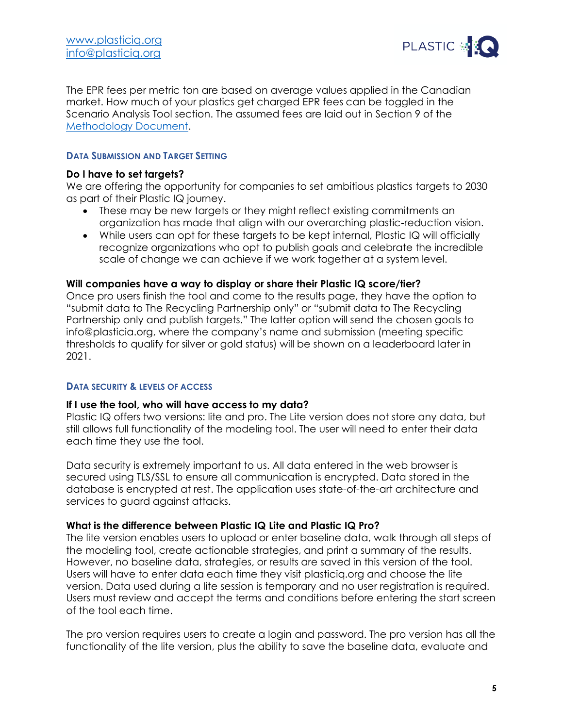

The EPR fees per metric ton are based on average values applied in the Canadian market. How much of your plastics get charged EPR fees can be toggled in the Scenario Analysis Tool section. The assumed fees are laid out in Section 9 of the [Methodology Document.](https://plasticiq.org/download/303/)

### **DATA SUBMISSION AND TARGET SETTING**

### **Do I have to set targets?**

We are offering the opportunity for companies to set ambitious plastics targets to 2030 as part of their Plastic IQ journey.

- These may be new targets or they might reflect existing commitments an organization has made that align with our overarching plastic-reduction vision.
- While users can opt for these targets to be kept internal, Plastic IQ will officially recognize organizations who opt to publish goals and celebrate the incredible scale of change we can achieve if we work together at a system level.

#### **Will companies have a way to display or share their Plastic IQ score/tier?**

Once pro users finish the tool and come to the results page, they have the option to "submit data to The Recycling Partnership only" or "submit data to The Recycling Partnership only and publish targets." The latter option will send the chosen goals to info@plasticia.org, where the company's name and submission (meeting specific thresholds to qualify for silver or gold status) will be shown on a leaderboard later in 2021.

#### **DATA SECURITY & LEVELS OF ACCESS**

#### **If I use the tool, who will have access to my data?**

Plastic IQ offers two versions: lite and pro. The Lite version does not store any data, but still allows full functionality of the modeling tool. The user will need to enter their data each time they use the tool.

Data security is extremely important to us. All data entered in the web browser is secured using TLS/SSL to ensure all communication is encrypted. Data stored in the database is encrypted at rest. The application uses state-of-the-art architecture and services to guard against attacks.

## **What is the difference between Plastic IQ Lite and Plastic IQ Pro?**

The lite version enables users to upload or enter baseline data, walk through all steps of the modeling tool, create actionable strategies, and print a summary of the results. However, no baseline data, strategies, or results are saved in this version of the tool. Users will have to enter data each time they visit plasticiq.org and choose the lite version. Data used during a lite session is temporary and no user registration is required. Users must review and accept the terms and conditions before entering the start screen of the tool each time.

The pro version requires users to create a login and password. The pro version has all the functionality of the lite version, plus the ability to save the baseline data, evaluate and